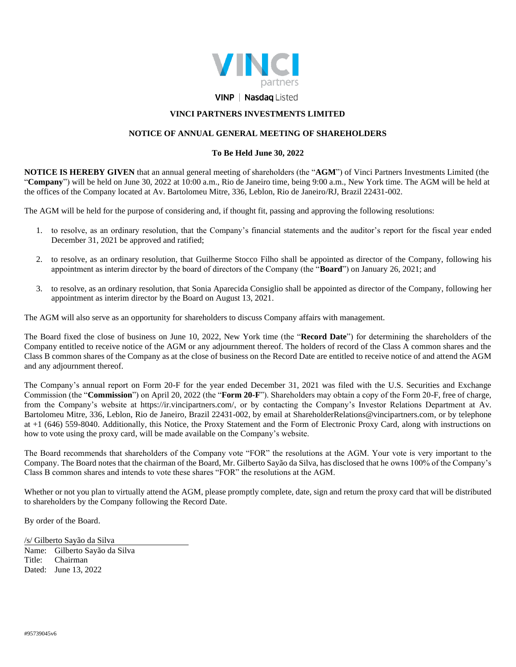

## **VINP | Nasdag Listed**

## **VINCI PARTNERS INVESTMENTS LIMITED**

## **NOTICE OF ANNUAL GENERAL MEETING OF SHAREHOLDERS**

## **To Be Held June 30, 2022**

**NOTICE IS HEREBY GIVEN** that an annual general meeting of shareholders (the "**AGM**") of Vinci Partners Investments Limited (the "**Company**") will be held on June 30, 2022 at 10:00 a.m., Rio de Janeiro time, being 9:00 a.m., New York time. The AGM will be held at the offices of the Company located at Av. Bartolomeu Mitre, 336, Leblon, Rio de Janeiro/RJ, Brazil 22431-002.

The AGM will be held for the purpose of considering and, if thought fit, passing and approving the following resolutions:

- 1. to resolve, as an ordinary resolution, that the Company's financial statements and the auditor's report for the fiscal year ended December 31, 2021 be approved and ratified;
- 2. to resolve, as an ordinary resolution, that Guilherme Stocco Filho shall be appointed as director of the Company, following his appointment as interim director by the board of directors of the Company (the "**Board**") on January 26, 2021; and
- 3. to resolve, as an ordinary resolution, that Sonia Aparecida Consiglio shall be appointed as director of the Company, following her appointment as interim director by the Board on August 13, 2021.

The AGM will also serve as an opportunity for shareholders to discuss Company affairs with management.

The Board fixed the close of business on June 10, 2022, New York time (the "**Record Date**") for determining the shareholders of the Company entitled to receive notice of the AGM or any adjournment thereof. The holders of record of the Class A common shares and the Class B common shares of the Company as at the close of business on the Record Date are entitled to receive notice of and attend the AGM and any adjournment thereof.

The Company's annual report on Form 20-F for the year ended December 31, 2021 was filed with the U.S. Securities and Exchange Commission (the "**Commission**") on April 20, 2022 (the "**Form 20-F**"). Shareholders may obtain a copy of the Form 20-F, free of charge, from the Company's website at https://ir.vincipartners.com/, or by contacting the Company's Investor Relations Department at Av. Bartolomeu Mitre, 336, Leblon, Rio de Janeiro, Brazil 22431-002, by email at ShareholderRelations@vincipartners.com, or by telephone at +1 (646) 559-8040. Additionally, this Notice, the Proxy Statement and the Form of Electronic Proxy Card, along with instructions on how to vote using the proxy card, will be made available on the Company's website.

The Board recommends that shareholders of the Company vote "FOR" the resolutions at the AGM. Your vote is very important to the Company. The Board notes that the chairman of the Board, Mr. Gilberto Sayão da Silva, has disclosed that he owns 100% of the Company's Class B common shares and intends to vote these shares "FOR" the resolutions at the AGM.

Whether or not you plan to virtually attend the AGM, please promptly complete, date, sign and return the proxy card that will be distributed to shareholders by the Company following the Record Date.

By order of the Board.

/s/ Gilberto Sayão da Silva Name: Gilberto Sayão da Silva Title: Chairman Dated: June 13, 2022